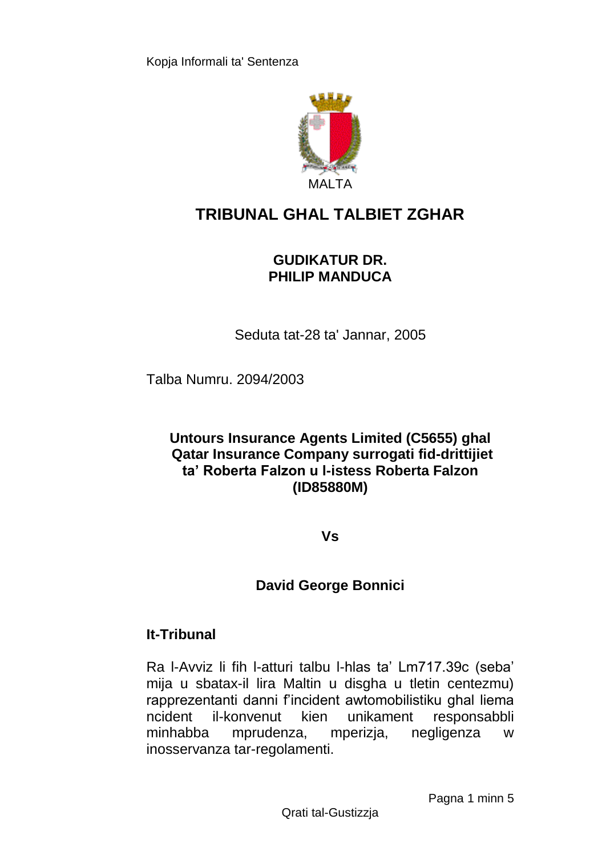

# **TRIBUNAL GHAL TALBIET ZGHAR**

### **GUDIKATUR DR. PHILIP MANDUCA**

Seduta tat-28 ta' Jannar, 2005

Talba Numru. 2094/2003

#### **Untours Insurance Agents Limited (C5655) ghal Qatar Insurance Company surrogati fid-drittijiet ta' Roberta Falzon u l-istess Roberta Falzon (ID85880M)**

**Vs**

## **David George Bonnici**

## **It-Tribunal**

Ra l-Avviz li fih l-atturi talbu l-hlas ta' Lm717.39c (seba' mija u sbatax-il lira Maltin u disgha u tletin centezmu) rapprezentanti danni f'incident awtomobilistiku ghal liema ncident il-konvenut kien unikament responsabbli minhabba mprudenza, mperizja, negligenza w inosservanza tar-regolamenti.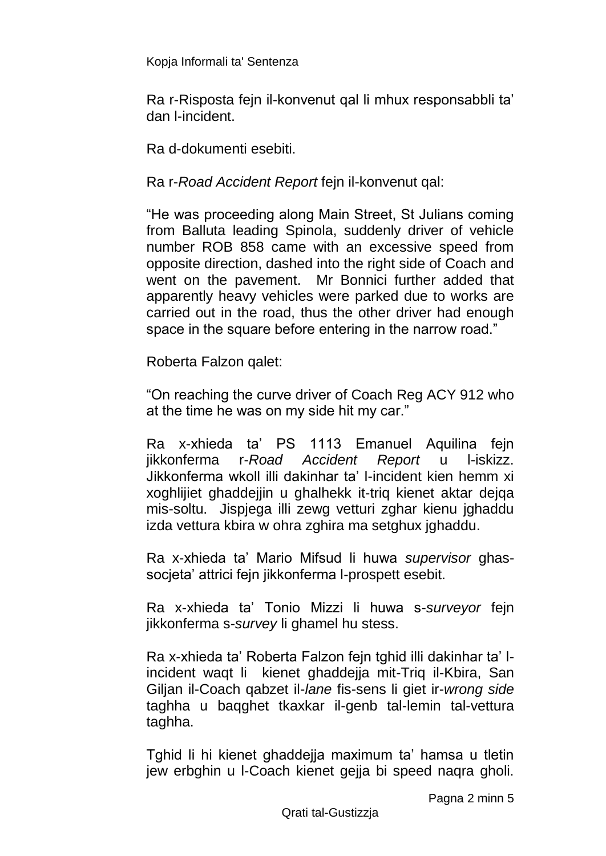Ra r-Risposta fejn il-konvenut qal li mhux responsabbli ta' dan l-incident.

Ra d-dokumenti esebiti.

Ra r-*Road Accident Report* fejn il-konvenut qal:

"He was proceeding along Main Street, St Julians coming from Balluta leading Spinola, suddenly driver of vehicle number ROB 858 came with an excessive speed from opposite direction, dashed into the right side of Coach and went on the pavement. Mr Bonnici further added that apparently heavy vehicles were parked due to works are carried out in the road, thus the other driver had enough space in the square before entering in the narrow road."

Roberta Falzon qalet:

"On reaching the curve driver of Coach Reg ACY 912 who at the time he was on my side hit my car."

Ra x-xhieda ta' PS 1113 Emanuel Aquilina fejn jikkonferma r-*Road Accident Report* u l-iskizz. Jikkonferma wkoll illi dakinhar ta' l-incident kien hemm xi xoghlijiet ghaddejjin u ghalhekk it-triq kienet aktar dejqa mis-soltu. Jispjega illi zewg vetturi zghar kienu jghaddu izda vettura kbira w ohra zghira ma setghux jghaddu.

Ra x-xhieda ta' Mario Mifsud li huwa *supervisor* ghassocjeta' attrici fejn jikkonferma l-prospett esebit.

Ra x-xhieda ta' Tonio Mizzi li huwa s-*surveyor* fejn jikkonferma s-*survey* li ghamel hu stess.

Ra x-xhieda ta' Roberta Falzon fejn tghid illi dakinhar ta' lincident waqt li kienet ghaddejja mit-Triq il-Kbira, San Giljan il-Coach qabzet il-*lane* fis-sens li giet ir-*wrong side* taghha u baqghet tkaxkar il-genb tal-lemin tal-vettura taghha.

Tghid li hi kienet ghaddejja maximum ta' hamsa u tletin jew erbghin u l-Coach kienet gejja bi speed naqra gholi.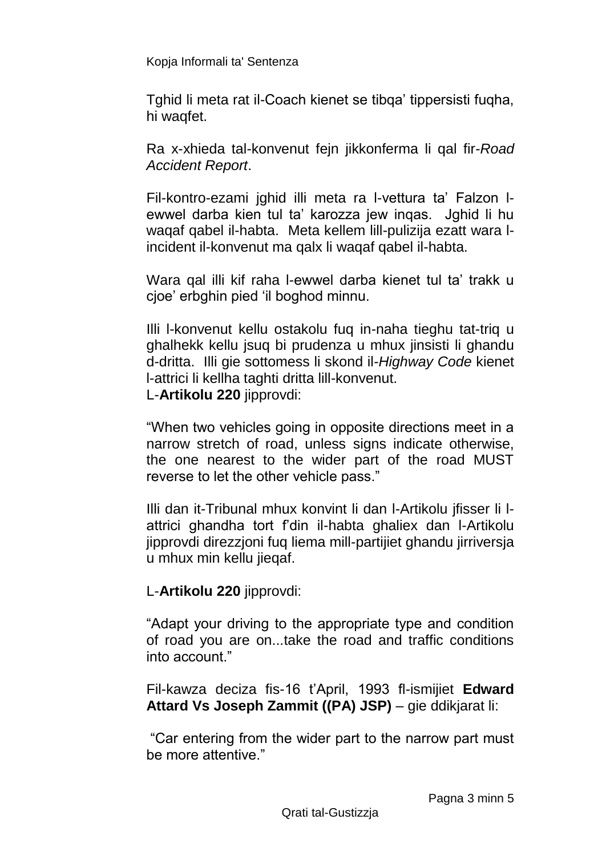Tghid li meta rat il-Coach kienet se tibqa' tippersisti fuqha, hi waqfet.

Ra x-xhieda tal-konvenut fejn jikkonferma li qal fir-*Road Accident Report*.

Fil-kontro-ezami jghid illi meta ra l-vettura ta' Falzon lewwel darba kien tul ta' karozza jew inqas. Jghid li hu waqaf qabel il-habta. Meta kellem lill-pulizija ezatt wara lincident il-konvenut ma qalx li waqaf qabel il-habta.

Wara qal illi kif raha l-ewwel darba kienet tul ta' trakk u cjoe' erbghin pied 'il boghod minnu.

Illi l-konvenut kellu ostakolu fuq in-naha tieghu tat-triq u ghalhekk kellu jsuq bi prudenza u mhux jinsisti li ghandu d-dritta. Illi gie sottomess li skond il-*Highway Code* kienet l-attrici li kellha taghti dritta lill-konvenut. L-**Artikolu 220** jipprovdi:

"When two vehicles going in opposite directions meet in a narrow stretch of road, unless signs indicate otherwise, the one nearest to the wider part of the road MUST reverse to let the other vehicle pass."

Illi dan it-Tribunal mhux konvint li dan l-Artikolu jfisser li lattrici ghandha tort f'din il-habta ghaliex dan l-Artikolu jipprovdi direzzjoni fuq liema mill-partijiet ghandu jirriversja u mhux min kellu jieqaf.

#### L-**Artikolu 220** jipprovdi:

"Adapt your driving to the appropriate type and condition of road you are on...take the road and traffic conditions into account."

Fil-kawza deciza fis-16 t'April, 1993 fl-ismijiet **Edward Attard Vs Joseph Zammit ((PA) JSP)** – gie ddikjarat li:

"Car entering from the wider part to the narrow part must be more attentive."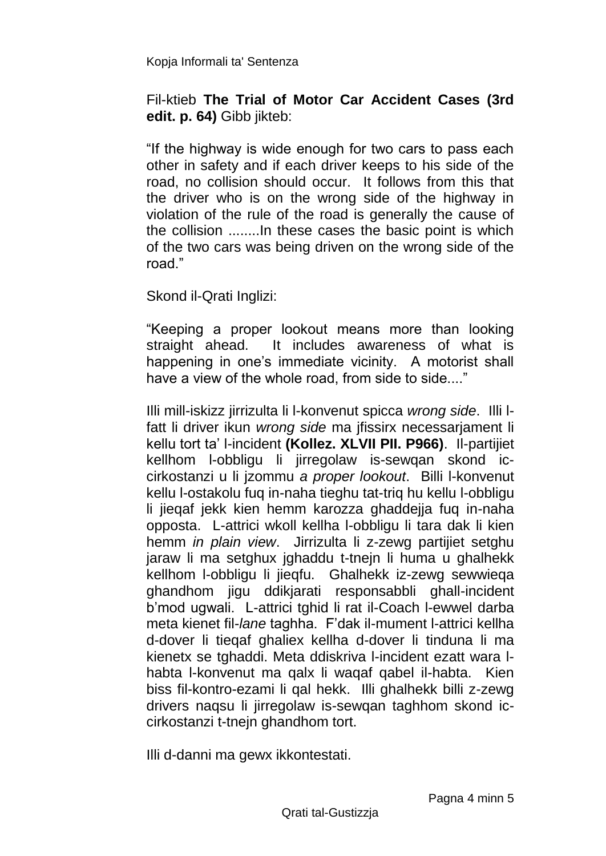Fil-ktieb **The Trial of Motor Car Accident Cases (3rd edit. p. 64)** Gibb jikteb:

"If the highway is wide enough for two cars to pass each other in safety and if each driver keeps to his side of the road, no collision should occur. It follows from this that the driver who is on the wrong side of the highway in violation of the rule of the road is generally the cause of the collision ........In these cases the basic point is which of the two cars was being driven on the wrong side of the road."

Skond il-Qrati Inglizi:

"Keeping a proper lookout means more than looking straight ahead. It includes awareness of what is happening in one's immediate vicinity. A motorist shall have a view of the whole road, from side to side...."

Illi mill-iskizz jirrizulta li l-konvenut spicca *wrong side*. Illi lfatt li driver ikun *wrong side* ma jfissirx necessarjament li kellu tort ta' l-incident **(Kollez. XLVII PII. P966)**. Il-partijiet kellhom l-obbligu li jirregolaw is-sewqan skond iccirkostanzi u li jzommu *a proper lookout*. Billi l-konvenut kellu l-ostakolu fuq in-naha tieghu tat-triq hu kellu l-obbligu li jieqaf jekk kien hemm karozza ghaddejja fuq in-naha opposta. L-attrici wkoll kellha l-obbligu li tara dak li kien hemm *in plain view*. Jirrizulta li z-zewg partijiet setghu jaraw li ma setghux jghaddu t-tnejn li huma u ghalhekk kellhom l-obbligu li jieqfu. Ghalhekk iz-zewg sewwieqa ghandhom jigu ddikjarati responsabbli ghall-incident b'mod ugwali. L-attrici tghid li rat il-Coach l-ewwel darba meta kienet fil-*lane* taghha. F'dak il-mument l-attrici kellha d-dover li tieqaf ghaliex kellha d-dover li tinduna li ma kienetx se tghaddi. Meta ddiskriva l-incident ezatt wara lhabta l-konvenut ma qalx li waqaf qabel il-habta. Kien biss fil-kontro-ezami li qal hekk. Illi ghalhekk billi z-zewg drivers naqsu li jirregolaw is-sewqan taghhom skond iccirkostanzi t-tnejn ghandhom tort.

Illi d-danni ma gewx ikkontestati.